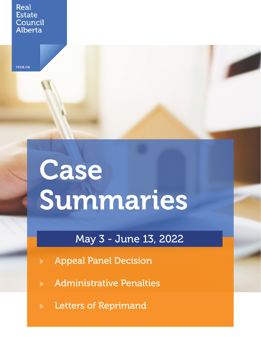#### Real **Estate** Council Alberta

reca.ca

# Case Summaries

## May 3 - June 13, 2022

- » Appeal Panel Decision
- » Administrative Penalties
- » Letters of Reprimand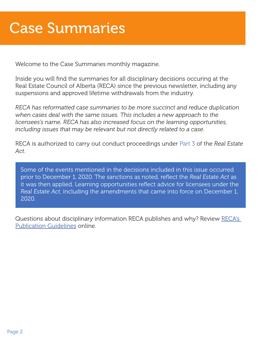# Case Summaries

Welcome to the Case Summaries monthly magazine.

Inside you will find the summaries for all disciplinary decisions occuring at the Real Estate Council of Alberta (RECA) since the previous newsletter, including any suspensions and approved lifetime withdrawals from the industry.

*RECA has reformatted case summaries to be more succinct and reduce duplication when cases deal with the same issues. This includes a new approach to the licensees's name. RECA has also increased focus on the learning opportunities, including issues that may be relevant but not directly related to a case.*

RECA is authorized to carry out conduct proceedings under [Part 3](https://www.reca.ca/about-reca/legislation-standards/real-estate-act/#Section36) of the *Real Estate Act*.

Some of the events mentioned in the decisions included in this issue occurred prior to December 1, 2020. The sanctions as noted, reflect the *Real Estate Act* as it was then applied. Learning opportunities reflect advice for licensees under the *Real Estate Act*, including the amendments that came into force on December 1, 2020.

Questions about disciplinary information RECA publishes and why? Review [RECA's](https://www.reca.ca/complaints-discipline/discipline-publications-guidelines/)  [Publication Guidelines](https://www.reca.ca/complaints-discipline/discipline-publications-guidelines/) online.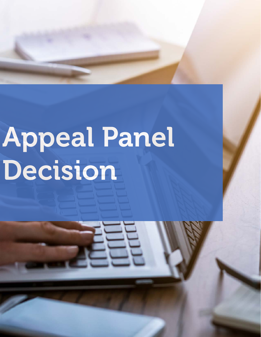# Appeal Panel Decision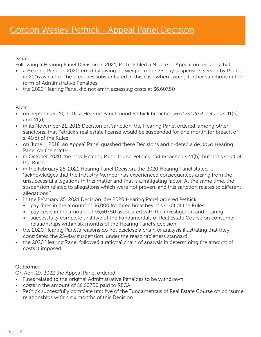#### Issue:

Following a Hearing Panel Decision in 2021, Pethick filed a Notice of Appeal on grounds that:

- a Hearing Panel in 2020, erred by giving no weight to the 25-day suspension served by Pethick in 2016 as part of the breaches substantiated in this case when issuing further sanctions in the form of Administrative Penalties
- the 2020 Hearing Panel did not err in assessing costs at \$6,607.50

#### Facts:

- on September 20, 2016, a Hearing Panel found Pethick breached *Real Estate Act* Rules s.41(b) and 41(d)
- in its November 21, 2016 Decision on Sanction, the Hearing Panel ordered, among other sanctions, that Pethick's real estate license would be suspended for one month for breach of s. 41(d) of the Rules
- on June 1, 2018, an Appeal Panel quashed these Decisions and ordered a *de novo* Hearing Panel on the matter
- in October 2020, the new Hearing Panel found Pethick had breached s.41(b), but not s.41(d) of the Rules
- in the February 25, 2021 Hearing Panel Decision, the 2020 Hearing Panel stated, it "acknowledges that the Industry Member has experienced consequences arising from the unsuccessful allegations in this matter and that is a mitigating factor. At the same time, the suspension related to allegations which were not proven, and this sanction relates to different allegations."
- In the February 25, 2021 Decision, the 2020 Hearing Panel ordered Pethick:
	- pay fines in the amount of \$6,000 for three breaches of s.41(b) of the Rules
	- pay costs in the amount of \$6,607.50 associated with the investigation and hearing
	- successfully complete unit five of the Fundamentals of Real Estate Course on consumer relationships within six months of the Hearing Panel's decision
- the 2020 Hearing Panel's reasons do not disclose a chain of analysis illustrating that they considered the 25-day suspension, under the reasonableness standard
- the 2020 Hearing Panel followed a rational chain of analysis in determining the amount of costs it imposed

#### Outcome:

On April 27, 2022 the Appeal Panel ordered:

- Fines related to the original Administrative Penalties to be withdrawn
- costs in the amount of \$6,607.50 paid to RECA
- Pethick successfully complete unit five of the Fundamentals of Real Estate Course on consumer relationships within six months of this Decision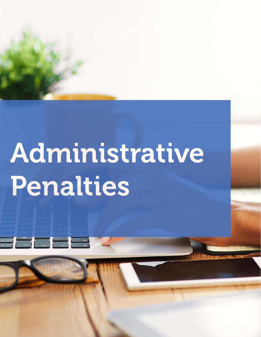

# Administrative Penalties

 $\frac{1}{\cdot}$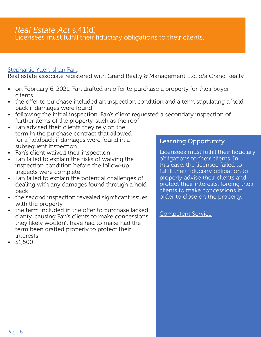#### *Real Estate Act* s.41(d) Licensees must fulfill their fiduciary obligations to their clients.

#### [Stephanie Yuen-shan Fan,](https://www.reca.ca/wp-content/uploads/2022/05/Stephanie-Fan-AP041.pdf)

Real estate associate registered with Grand Realty & Management Ltd. o/a Grand Realty

- on February 6, 2021, Fan drafted an offer to purchase a property for their buyer clients
- the offer to purchase included an inspection condition and a term stipulating a hold back if damages were found
- following the initial inspection, Fan's client requested a secondary inspection of further items of the property, such as the roof
- Fan advised their clients they rely on the term in the purchase contract that allowed for a holdback if damages were found in a subsequent inspection
- Fan's client waived their inspection
- Fan failed to explain the risks of waiving the inspection condition before the follow-up inspects were complete
- Fan failed to explain the potential challenges of dealing with any damages found through a hold back
- the second inspection revealed significant issues with the property
- the term included in the offer to purchase lacked clarity, causing Fan's clients to make concessions they likely wouldn't have had to make had the term been drafted properly to protect their interests
- \$1,500

#### Learning Opportunity

Licensees must fulfill their fiduciary obligations to their clients. In this case, the licensee failed to fulfill their fiduciary obligation to properly advise their clients and protect their interests, forcing their clients to make concessions in order to close on the property.

[Competent Service](https://www.reca.ca/wp-content/uploads/PDF/Competent-Service.pdf)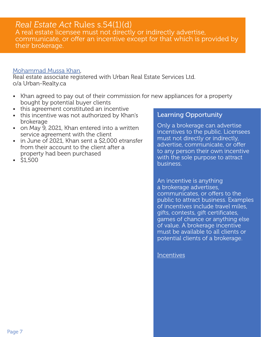#### Page 7

### *Real Estate Act* Rules s.54(1)(d)

A real estate licensee must not directly or indirectly advertise, communicate, or offer an incentive except for that which is provided by their brokerage.

#### [Mohammad Mussa Khan](https://www.reca.ca/wp-content/uploads/2022/05/Mohammad-Khan-AP049.pdf),

Real estate associate registered with Urban Real Estate Services Ltd. o/a Urban-Realty.ca

- Khan agreed to pay out of their commission for new appliances for a property bought by potential buyer clients
- this agreement constituted an incentive
- this incentive was not authorized by Khan's brokerage
- on May 9, 2021, Khan entered into a written service agreement with the client
- in June of 2021, Khan sent a \$2,000 etransfer from their account to the client after a property had been purchased
- \$1,500

#### Learning Opportunity

Only a brokerage can advertise incentives to the public. Licensees must not directly or indirectly, advertise, communicate, or offer to any person their own incentive with the sole purpose to attract business.

An incentive is anything a brokerage advertises, communicates, or offers to the public to attract business. Examples of incentives include travel miles, gifts, contests, gift certificates, games of chance or anything else of value. A brokerage incentive must be available to all clients or potential clients of a brokerage.

**[Incentives](https://www.reca.ca/wp-content/uploads/PDF/Incentives.pdf)**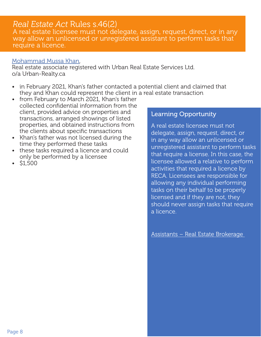### *Real Estate Act* Rules s.46(2)

A real estate licensee must not delegate, assign, request, direct, or in any way allow an unlicensed or unregistered assistant to perform tasks that require a licence.

#### [Mohammad Mussa Khan](https://www.reca.ca/wp-content/uploads/2022/05/Mohammad-Khan-AP050.pdf),

Real estate associate registered with Urban Real Estate Services Ltd. o/a Urban-Realty.ca

- in February 2021, Khan's father contacted a potential client and claimed that they and Khan could represent the client in a real estate transaction
- from February to March 2021, Khan's father collected confidential information from the client, provided advice on properties and transactions, arranged showings of listed properties, and obtained instructions from the clients about specific transactions
- Khan's father was not licensed during the time they performed these tasks
- these tasks required a licence and could only be performed by a licensee
- \$1,500

#### Learning Opportunity

A real estate licensee must not delegate, assign, request, direct, or in any way allow an unlicensed or unregistered assistant to perform tasks that require a license. In this case, the licensee allowed a relative to perform activities that required a licence by RECA. Licensees are responsible for allowing any individual performing tasks on their behalf to be properly licensed and if they are not, they should never assign tasks that require a licence.

[Assistants – Real Estate Brokerage](https://www.reca.ca/wp-content/uploads/PDF/Assistants-Real-Estate-Brokerage.pdf)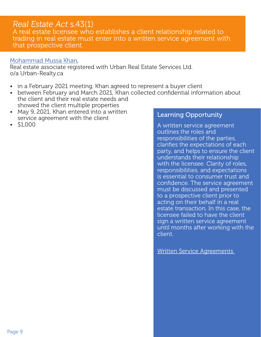### *Real Estate Act* s.43(1)

A real estate licensee who establishes a client relationship related to trading in real estate must enter into a written service agreement with that prospective client.

#### [Mohammad Mussa Khan](https://www.reca.ca/wp-content/uploads/2022/05/Mohammad-Khan-AP051.pdf),

Real estate associate registered with Urban Real Estate Services Ltd. o/a Urban-Realty.ca

- in a February 2021 meeting, Khan agreed to represent a buyer client
- between February and March 2021, Khan collected confidential information about the client and their real estate needs and showed the client multiple properties
- May 9, 2021, Khan entered into a written service agreement with the client
- \$1,000

#### Learning Opportunity

A written service agreement outlines the roles and responsibilities of the parties, clarifies the expectations of each party, and helps to ensure the client understands their relationship with the licensee. Clarity of roles, responsibilities, and expectations is essential to consumer trust and confidence. The service agreement must be discussed and presented to a prospective client prior to acting on their behalf in a real estate transaction. In this case, the licensee failed to have the client sign a written service agreement until months after working with the client.

[Written Service Agreements](https://www.reca.ca/licensees-learners/industry-101/working-with-consumers/written-service-agreements/)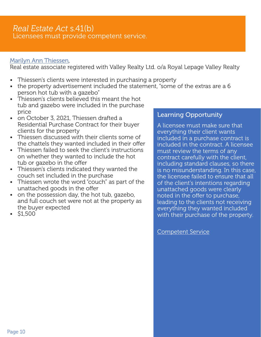#### *Real Estate Act* s.41(b) Licensees must provide competent service.

#### [Marilyn Ann Thiessen](https://www.reca.ca/wp-content/uploads/2022/05/Marilyn-Ann-Thiessen-AP042.pdf),

Real estate associate registered with Valley Realty Ltd. o/a Royal Lepage Valley Realty

- Thiessen's clients were interested in purchasing a property
- the property advertisement included the statement, "some of the extras are a 6 person hot tub with a gazebo"
- Thiessen's clients believed this meant the hot tub and gazebo were included in the purchase price
- on October 3, 2021, Thiessen drafted a Residential Purchase Contract for their buyer clients for the property
- Thiessen discussed with their clients some of the chattels they wanted included in their offer
- Thiessen failed to seek the client's instructions on whether they wanted to include the hot tub or gazebo in the offer
- Thiessen's clients indicated they wanted the couch set included in the purchase
- Thiessen wrote the word "couch" as part of the unattached goods in the offer
- on the possession day, the hot tub, gazebo, and full couch set were not at the property as the buyer expected
- \$1,500

#### Learning Opportunity

A licensee must make sure that everything their client wants included in a purchase contract is included in the contract. A licensee must review the terms of any contract carefully with the client, including standard clauses, so there is no misunderstanding. In this case, the licensee failed to ensure that all of the client's intentions regarding unattached goods were clearly noted in the offer to purchase, leading to the clients not receiving everything they wanted included with their purchase of the property.

[Competent Service](https://www.reca.ca/wp-content/uploads/PDF/Competent-Service.pdf)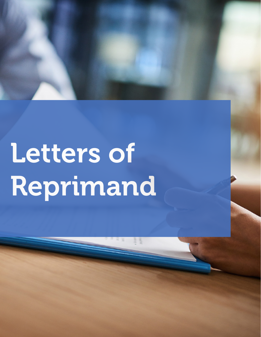

# Letters of Reprimand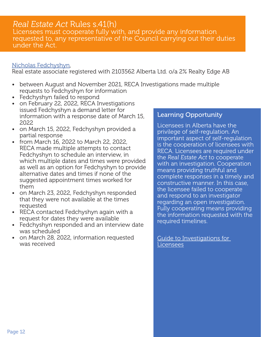### *Real Estate Act* Rules s.41(h)

Licensees must cooperate fully with, and provide any information requested to, any representative of the Council carrying out their duties under the Act.

#### [Nicholas Fedchyshyn,](https://www.reca.ca/wp-content/uploads/2022/05/Nicholas-Fedchyshyn-LoR039.pdf)

Real estate associate registered with 2103562 Alberta Ltd. o/a 2% Realty Edge AB

- between August and November 2021, RECA Investigations made multiple requests to Fedchyshyn for information
- Fedchyshyn failed to respond
- on February 22, 2022, RECA Investigations issued Fedchyshyn a demand letter for information with a response date of March 15, 2022
- on March 15, 2022, Fedchyshyn provided a partial response
- from March 16, 2022 to March 22, 2022, RECA made multiple attempts to contact Fedchyshyn to schedule an interview, in which multiple dates and times were provided as well as an option for Fedchyshyn to provide alternative dates and times if none of the suggested appointment times worked for them
- on March 23, 2022, Fedchyshyn responded that they were not available at the times requested
- RECA contacted Fedchyshyn again with a request for dates they were available
- Fedchyshyn responded and an interview date was scheduled
- on March 28, 2022, information requested was received

#### Learning Opportunity

Licensees in Alberta have the privilege of self-regulation. An important aspect of self-regulation is the cooperation of licensees with RECA. Licensees are required under the *Real Estate Act* to cooperate with an investigation. Cooperation means providing truthful and complete responses in a timely and constructive manner. In this case, the licensee failed to cooperate and respond to an investigator regarding an open investigation. Fully cooperating means providing the information requested with the required timelines.

[Guide to Investigations for](https://www.reca.ca/wp-content/uploads/2020/12/Guide-Investigations-For-Licensees-Nov-2020.pdf)  [Licensees](https://www.reca.ca/wp-content/uploads/2020/12/Guide-Investigations-For-Licensees-Nov-2020.pdf)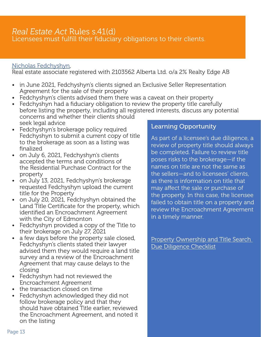# *Real Estate Act* Rules s.41(d)

Licensees must fulfill their fiduciary obligations to their clients.

#### [Nicholas Fedchyshyn,](https://www.reca.ca/wp-content/uploads/2022/05/Nicholas-Fedchyshyn-LoR040.pdf)

Real estate associate registered with 2103562 Alberta Ltd. o/a 2% Realty Edge AB

- in June 2021, Fedchyshyn's clients signed an Exclusive Seller Representation Agreement for the sale of their property
- Fedchyshyn's clients advised them there was a caveat on their property
- Fedchyshyn had a fiduciary obligation to review the property title carefully before listing the property, including all registered interests, discuss any potential concerns and whether their clients should seek legal advice
- Fedchyshyn's brokerage policy required Fedchyshyn to submit a current copy of title to the brokerage as soon as a listing was finalized
- on July 6, 2021, Fedchyshyn's clients accepted the terms and conditions of the Residential Purchase Contract for the property
- on July 13, 2021, Fedchyshyn's brokerage requested Fedchyshyn upload the current title for the Property
- on July 20, 2021, Fedchyshyn obtained the Land Title Certificate for the property, which identified an Encroachment Agreement with the City of Edmonton
- Fedchyshyn provided a copy of the Title to their brokerage on July 27, 2021
- a few days before the property sale closed, Fedchyshyn's clients stated their lawyer advised them they would require a land title survey and a review of the Encroachment Agreement that may cause delays to the closing
- Fedchyshyn had not reviewed the Encroachment Agreement
- the transaction closed on time
- Fedchyshyn acknowledged they did not follow brokerage policy and that they should have obtained Title earlier, reviewed the Encroachment Agreement, and noted it on the listing

#### Learning Opportunity

As part of a licensee's due diligence, a review of property title should always be completed. Failure to review title poses risks to the brokerage—if the names on title are not the same as the sellers—and to licensees' clients, as there is information on title that may affect the sale or purchase of the property. In this case, the licensee failed to obtain title on a property and review the Encroachment Agreement in a timely manner.

Property Ownership and Title Search [Due Diligence Checklist](https://www.reca.ca/wp-content/uploads/2018/07/INDUSTRY-TOOLS-Property-Ownership-and-Title-Search-Due-Diligence-Checklist-When-Representing-SellersLandlords-1.pdf)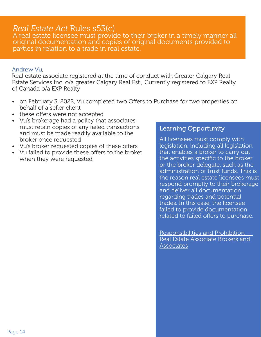#### *Real Estate Act* Rules s53(c)

A real estate licensee must provide to their broker in a timely manner all original documentation and copies of original documents provided to parties in relation to a trade in real estate.

#### [Andrew Vu,](https://www.reca.ca/wp-content/uploads/2022/05/Andrew-Vu-LoR048.pdf)

Real estate associate registered at the time of conduct with Greater Calgary Real Estate Services Inc. o/a greater Calgary Real Est.; Currently registered to EXP Realty of Canada o/a EXP Realty

- on February 3, 2022, Vu completed two Offers to Purchase for two properties on behalf of a seller client
- these offers were not accepted
- Vu's brokerage had a policy that associates must retain copies of any failed transactions and must be made readily available to the broker once requested
- Vu's broker requested copies of these offers
- Vu failed to provide these offers to the broker when they were requested

#### Learning Opportunity

All licensees must comply with legislation, including all legislation that enables a broker to carry out the activities specific to the broker or the broker delegate, such as the administration of trust funds. This is the reason real estate licensees must respond promptly to their brokerage and deliver all documentation regarding trades and potential trades. In this case, the licensee failed to provide documentation related to failed offers to purchase.

[Responsibilities and Prohibition —](https://www.reca.ca/wp-content/uploads/PDF/Responsibilities-Prohibitions-Real-Estate-Brokerage.pdf)  [Real Estate Associate Brokers and](https://www.reca.ca/wp-content/uploads/PDF/Responsibilities-Prohibitions-Real-Estate-Brokerage.pdf)  **[Associates](https://www.reca.ca/wp-content/uploads/PDF/Responsibilities-Prohibitions-Real-Estate-Brokerage.pdf)**